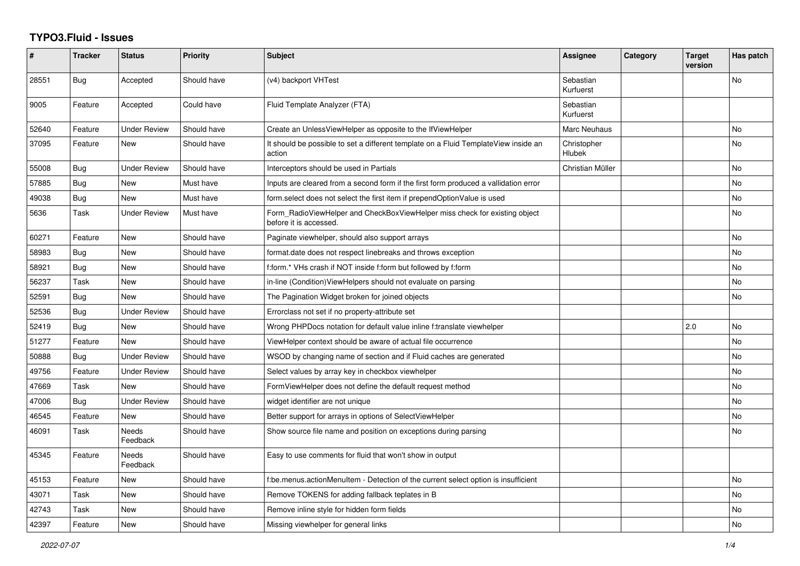## **TYPO3.Fluid - Issues**

| #     | <b>Tracker</b> | <b>Status</b>            | <b>Priority</b> | <b>Subject</b>                                                                                       | Assignee                     | Category | <b>Target</b><br>version | Has patch |
|-------|----------------|--------------------------|-----------------|------------------------------------------------------------------------------------------------------|------------------------------|----------|--------------------------|-----------|
| 28551 | <b>Bug</b>     | Accepted                 | Should have     | (v4) backport VHTest                                                                                 | Sebastian<br>Kurfuerst       |          |                          | <b>No</b> |
| 9005  | Feature        | Accepted                 | Could have      | Fluid Template Analyzer (FTA)                                                                        | Sebastian<br>Kurfuerst       |          |                          |           |
| 52640 | Feature        | <b>Under Review</b>      | Should have     | Create an UnlessViewHelper as opposite to the IfViewHelper                                           | Marc Neuhaus                 |          |                          | No        |
| 37095 | Feature        | New                      | Should have     | It should be possible to set a different template on a Fluid TemplateView inside an<br>action        | Christopher<br><b>Hlubek</b> |          |                          | No        |
| 55008 | <b>Bug</b>     | <b>Under Review</b>      | Should have     | Interceptors should be used in Partials                                                              | Christian Müller             |          |                          | No        |
| 57885 | Bug            | <b>New</b>               | Must have       | Inputs are cleared from a second form if the first form produced a vallidation error                 |                              |          |                          | <b>No</b> |
| 49038 | Bug            | New                      | Must have       | form.select does not select the first item if prependOptionValue is used                             |                              |          |                          | No        |
| 5636  | Task           | <b>Under Review</b>      | Must have       | Form RadioViewHelper and CheckBoxViewHelper miss check for existing object<br>before it is accessed. |                              |          |                          | No        |
| 60271 | Feature        | New                      | Should have     | Paginate viewhelper, should also support arrays                                                      |                              |          |                          | No        |
| 58983 | Bug            | <b>New</b>               | Should have     | format.date does not respect linebreaks and throws exception                                         |                              |          |                          | No        |
| 58921 | Bug            | <b>New</b>               | Should have     | f:form.* VHs crash if NOT inside f:form but followed by f:form                                       |                              |          |                          | No        |
| 56237 | Task           | <b>New</b>               | Should have     | in-line (Condition) View Helpers should not evaluate on parsing                                      |                              |          |                          | No        |
| 52591 | Bug            | <b>New</b>               | Should have     | The Pagination Widget broken for joined objects                                                      |                              |          |                          | No        |
| 52536 | Bug            | <b>Under Review</b>      | Should have     | Errorclass not set if no property-attribute set                                                      |                              |          |                          |           |
| 52419 | Bug            | New                      | Should have     | Wrong PHPDocs notation for default value inline f:translate viewhelper                               |                              |          | 2.0                      | No        |
| 51277 | Feature        | <b>New</b>               | Should have     | ViewHelper context should be aware of actual file occurrence                                         |                              |          |                          | No        |
| 50888 | Bug            | <b>Under Review</b>      | Should have     | WSOD by changing name of section and if Fluid caches are generated                                   |                              |          |                          | No        |
| 49756 | Feature        | <b>Under Review</b>      | Should have     | Select values by array key in checkbox viewhelper                                                    |                              |          |                          | No        |
| 47669 | Task           | <b>New</b>               | Should have     | FormViewHelper does not define the default request method                                            |                              |          |                          | No        |
| 47006 | Bug            | <b>Under Review</b>      | Should have     | widget identifier are not unique                                                                     |                              |          |                          | No        |
| 46545 | Feature        | New                      | Should have     | Better support for arrays in options of SelectViewHelper                                             |                              |          |                          | No        |
| 46091 | Task           | <b>Needs</b><br>Feedback | Should have     | Show source file name and position on exceptions during parsing                                      |                              |          |                          | No.       |
| 45345 | Feature        | Needs<br>Feedback        | Should have     | Easy to use comments for fluid that won't show in output                                             |                              |          |                          |           |
| 45153 | Feature        | <b>New</b>               | Should have     | f:be.menus.actionMenuItem - Detection of the current select option is insufficient                   |                              |          |                          | <b>No</b> |
| 43071 | Task           | New                      | Should have     | Remove TOKENS for adding fallback teplates in B                                                      |                              |          |                          | No        |
| 42743 | Task           | New                      | Should have     | Remove inline style for hidden form fields                                                           |                              |          |                          | No        |
| 42397 | Feature        | <b>New</b>               | Should have     | Missing viewhelper for general links                                                                 |                              |          |                          | No.       |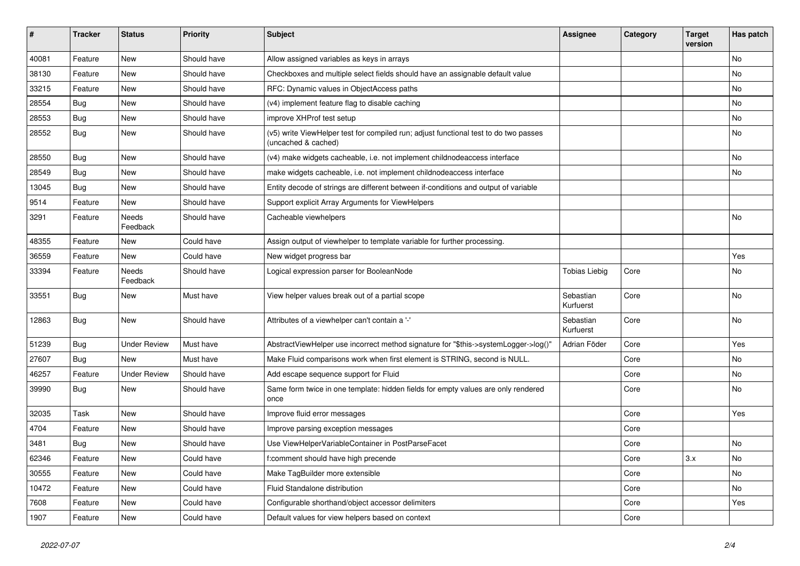| #     | <b>Tracker</b> | <b>Status</b>       | <b>Priority</b> | <b>Subject</b>                                                                                              | <b>Assignee</b>        | Category | <b>Target</b><br>version | Has patch |
|-------|----------------|---------------------|-----------------|-------------------------------------------------------------------------------------------------------------|------------------------|----------|--------------------------|-----------|
| 40081 | Feature        | New                 | Should have     | Allow assigned variables as keys in arrays                                                                  |                        |          |                          | <b>No</b> |
| 38130 | Feature        | New                 | Should have     | Checkboxes and multiple select fields should have an assignable default value                               |                        |          |                          | No        |
| 33215 | Feature        | New                 | Should have     | RFC: Dynamic values in ObjectAccess paths                                                                   |                        |          |                          | No        |
| 28554 | <b>Bug</b>     | New                 | Should have     | (v4) implement feature flag to disable caching                                                              |                        |          |                          | No        |
| 28553 | Bug            | New                 | Should have     | improve XHProf test setup                                                                                   |                        |          |                          | No        |
| 28552 | Bug            | New                 | Should have     | (v5) write ViewHelper test for compiled run; adjust functional test to do two passes<br>(uncached & cached) |                        |          |                          | No        |
| 28550 | Bug            | New                 | Should have     | (v4) make widgets cacheable, i.e. not implement childnodeaccess interface                                   |                        |          |                          | No        |
| 28549 | Bug            | New                 | Should have     | make widgets cacheable, i.e. not implement childnodeaccess interface                                        |                        |          |                          | No        |
| 13045 | Bug            | New                 | Should have     | Entity decode of strings are different between if-conditions and output of variable                         |                        |          |                          |           |
| 9514  | Feature        | New                 | Should have     | Support explicit Array Arguments for ViewHelpers                                                            |                        |          |                          |           |
| 3291  | Feature        | Needs<br>Feedback   | Should have     | Cacheable viewhelpers                                                                                       |                        |          |                          | <b>No</b> |
| 48355 | Feature        | New                 | Could have      | Assign output of viewhelper to template variable for further processing.                                    |                        |          |                          |           |
| 36559 | Feature        | New                 | Could have      | New widget progress bar                                                                                     |                        |          |                          | Yes       |
| 33394 | Feature        | Needs<br>Feedback   | Should have     | Logical expression parser for BooleanNode                                                                   | <b>Tobias Liebig</b>   | Core     |                          | No        |
| 33551 | Bug            | New                 | Must have       | View helper values break out of a partial scope                                                             | Sebastian<br>Kurfuerst | Core     |                          | <b>No</b> |
| 12863 | Bug            | New                 | Should have     | Attributes of a viewhelper can't contain a '-'                                                              | Sebastian<br>Kurfuerst | Core     |                          | <b>No</b> |
| 51239 | Bug            | <b>Under Review</b> | Must have       | AbstractViewHelper use incorrect method signature for "\$this->systemLogger->log()"                         | Adrian Föder           | Core     |                          | Yes       |
| 27607 | Bug            | New                 | Must have       | Make Fluid comparisons work when first element is STRING, second is NULL.                                   |                        | Core     |                          | No        |
| 46257 | Feature        | <b>Under Review</b> | Should have     | Add escape sequence support for Fluid                                                                       |                        | Core     |                          | No        |
| 39990 | Bug            | New                 | Should have     | Same form twice in one template: hidden fields for empty values are only rendered<br>once                   |                        | Core     |                          | No        |
| 32035 | Task           | New                 | Should have     | Improve fluid error messages                                                                                |                        | Core     |                          | Yes       |
| 4704  | Feature        | New                 | Should have     | Improve parsing exception messages                                                                          |                        | Core     |                          |           |
| 3481  | <b>Bug</b>     | New                 | Should have     | Use ViewHelperVariableContainer in PostParseFacet                                                           |                        | Core     |                          | No        |
| 62346 | Feature        | <b>New</b>          | Could have      | f:comment should have high precende                                                                         |                        | Core     | 3.x                      | No        |
| 30555 | Feature        | New                 | Could have      | Make TagBuilder more extensible                                                                             |                        | Core     |                          | No        |
| 10472 | Feature        | New                 | Could have      | Fluid Standalone distribution                                                                               |                        | Core     |                          | No        |
| 7608  | Feature        | New                 | Could have      | Configurable shorthand/object accessor delimiters                                                           |                        | Core     |                          | Yes       |
| 1907  | Feature        | New                 | Could have      | Default values for view helpers based on context                                                            |                        | Core     |                          |           |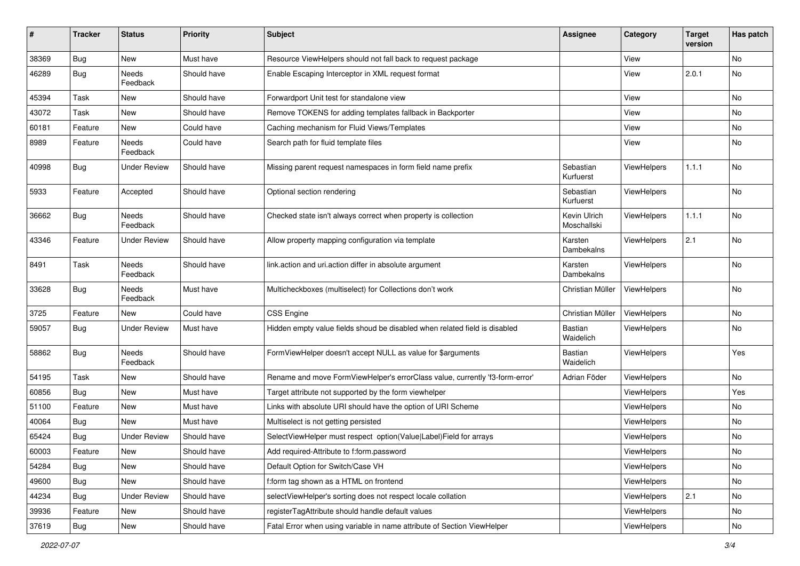| #     | <b>Tracker</b> | <b>Status</b>       | <b>Priority</b> | Subject                                                                      | <b>Assignee</b>             | Category           | <b>Target</b><br>version | Has patch     |
|-------|----------------|---------------------|-----------------|------------------------------------------------------------------------------|-----------------------------|--------------------|--------------------------|---------------|
| 38369 | Bug            | New                 | Must have       | Resource ViewHelpers should not fall back to request package                 |                             | View               |                          | <b>No</b>     |
| 46289 | Bug            | Needs<br>Feedback   | Should have     | Enable Escaping Interceptor in XML request format                            |                             | View               | 2.0.1                    | No            |
| 45394 | Task           | New                 | Should have     | Forwardport Unit test for standalone view                                    |                             | View               |                          | <b>No</b>     |
| 43072 | Task           | New                 | Should have     | Remove TOKENS for adding templates fallback in Backporter                    |                             | View               |                          | No            |
| 60181 | Feature        | <b>New</b>          | Could have      | Caching mechanism for Fluid Views/Templates                                  |                             | View               |                          | No.           |
| 8989  | Feature        | Needs<br>Feedback   | Could have      | Search path for fluid template files                                         |                             | View               |                          | No            |
| 40998 | Bug            | Under Review        | Should have     | Missing parent request namespaces in form field name prefix                  | Sebastian<br>Kurfuerst      | ViewHelpers        | 1.1.1                    | No            |
| 5933  | Feature        | Accepted            | Should have     | Optional section rendering                                                   | Sebastian<br>Kurfuerst      | ViewHelpers        |                          | No            |
| 36662 | Bug            | Needs<br>Feedback   | Should have     | Checked state isn't always correct when property is collection               | Kevin Ulrich<br>Moschallski | ViewHelpers        | 1.1.1                    | No            |
| 43346 | Feature        | <b>Under Review</b> | Should have     | Allow property mapping configuration via template                            | Karsten<br>Dambekalns       | ViewHelpers        | 2.1                      | No            |
| 8491  | Task           | Needs<br>Feedback   | Should have     | link.action and uri.action differ in absolute argument                       | Karsten<br>Dambekalns       | ViewHelpers        |                          | No            |
| 33628 | Bug            | Needs<br>Feedback   | Must have       | Multicheckboxes (multiselect) for Collections don't work                     | Christian Müller            | ViewHelpers        |                          | No            |
| 3725  | Feature        | New                 | Could have      | <b>CSS Engine</b>                                                            | Christian Müller            | ViewHelpers        |                          | No            |
| 59057 | Bug            | <b>Under Review</b> | Must have       | Hidden empty value fields shoud be disabled when related field is disabled   | Bastian<br>Waidelich        | ViewHelpers        |                          | No            |
| 58862 | Bug            | Needs<br>Feedback   | Should have     | FormViewHelper doesn't accept NULL as value for \$arguments                  | <b>Bastian</b><br>Waidelich | ViewHelpers        |                          | Yes           |
| 54195 | Task           | New                 | Should have     | Rename and move FormViewHelper's errorClass value, currently 'f3-form-error' | Adrian Föder                | ViewHelpers        |                          | <b>No</b>     |
| 60856 | Bug            | New                 | Must have       | Target attribute not supported by the form viewhelper                        |                             | ViewHelpers        |                          | Yes           |
| 51100 | Feature        | New                 | Must have       | Links with absolute URI should have the option of URI Scheme                 |                             | ViewHelpers        |                          | No.           |
| 40064 | Bug            | New                 | Must have       | Multiselect is not getting persisted                                         |                             | ViewHelpers        |                          | No            |
| 65424 | Bug            | <b>Under Review</b> | Should have     | SelectViewHelper must respect option(Value Label)Field for arrays            |                             | <b>ViewHelpers</b> |                          | No            |
| 60003 | Feature        | New                 | Should have     | Add required-Attribute to f:form.password                                    |                             | ViewHelpers        |                          | $\mathsf{No}$ |
| 54284 | Bug            | New                 | Should have     | Default Option for Switch/Case VH                                            |                             | ViewHelpers        |                          | No            |
| 49600 | Bug            | New                 | Should have     | f:form tag shown as a HTML on frontend                                       |                             | ViewHelpers        |                          | No            |
| 44234 | Bug            | <b>Under Review</b> | Should have     | selectViewHelper's sorting does not respect locale collation                 |                             | ViewHelpers        | 2.1                      | No            |
| 39936 | Feature        | New                 | Should have     | registerTagAttribute should handle default values                            |                             | ViewHelpers        |                          | No            |
| 37619 | <b>Bug</b>     | New                 | Should have     | Fatal Error when using variable in name attribute of Section ViewHelper      |                             | ViewHelpers        |                          | $\mathsf{No}$ |